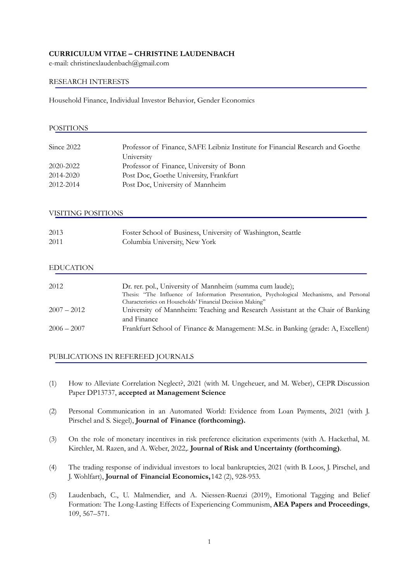# **CURRICULUM VITAE – CHRISTINE LAUDENBACH**

e-mail: christinexlaudenbach@gmail.com

## RESEARCH INTERESTS

Household Finance, Individual Investor Behavior, Gender Economics

| <b>POSITIONS</b> |                                                                                              |
|------------------|----------------------------------------------------------------------------------------------|
| Since $2022$     |                                                                                              |
|                  | Professor of Finance, SAFE Leibniz Institute for Financial Research and Goethe<br>University |
| 2020-2022        | Professor of Finance, University of Bonn                                                     |
| 2014-2020        | Post Doc, Goethe University, Frankfurt                                                       |
| 2012-2014        | Post Doc, University of Mannheim                                                             |
|                  |                                                                                              |

### VISITING POSITIONS

| 2013 | Foster School of Business, University of Washington, Seattle |
|------|--------------------------------------------------------------|
| 2011 | Columbia University, New York                                |

# EDUCATION

| 2012          | Dr. rer. pol., University of Mannheim (summa cum laude);<br>Thesis: "The Influence of Information Presentation, Psychological Mechanisms, and Personal |
|---------------|--------------------------------------------------------------------------------------------------------------------------------------------------------|
|               | Characteristics on Households' Financial Decision Making"                                                                                              |
| $2007 - 2012$ | University of Mannheim: Teaching and Research Assistant at the Chair of Banking                                                                        |
|               | and Finance                                                                                                                                            |
| $2006 - 2007$ | Frankfurt School of Finance & Management: M.Sc. in Banking (grade: A, Excellent)                                                                       |

### PUBLICATIONS IN REFEREED JOURNALS

- (1) How to Alleviate Correlation Neglect?, 2021 (with M. Ungeheuer, and M. Weber), CEPR Discussion Paper DP13737, **accepted at Management Science**
- (2) Personal Communication in an Automated World: Evidence from Loan Payments, 2021 (with J. Pirschel and S. Siegel), **Journal of Finance (forthcoming).**
- (3) On the role of monetary incentives in risk preference elicitation experiments (with A. Hackethal, M. Kirchler, M. Razen, and A. Weber, 2022,. **Journal of Risk and Uncertainty (forthcoming)**.
- (4) The trading response of individual investors to local bankruptcies, 2021 (with B. Loos, J. Pirschel, and J. Wohlfart), **Journal of Financial Economics,**142 (2), 928-953.
- (5) Laudenbach, C., U. Malmendier, and A. Niessen-Ruenzi (2019), Emotional Tagging and Belief Formation: The Long-Lasting Effects of Experiencing Communism, **AEA Papers and Proceedings**, 109, 567–571.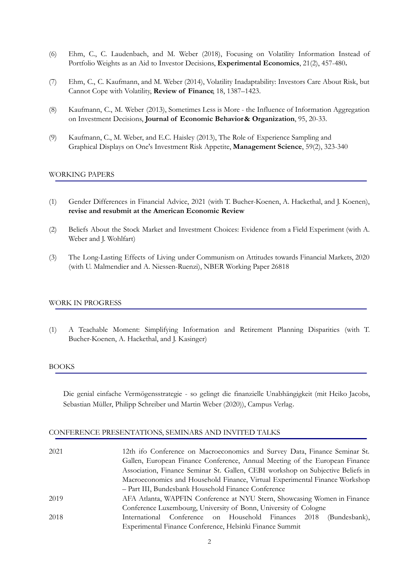- (6) Ehm, C., C. Laudenbach, and M. Weber (2018), Focusing on Volatility Information Instead of Portfolio Weights as an Aid to Investor Decisions, **Experimental Economics**, 21(2), 457-480**.**
- (7) Ehm, C., C. Kaufmann, and M. Weber (2014), Volatility Inadaptability: Investors Care About Risk, but Cannot Cope with Volatility, **Review of Finance**, 18, 1387–1423.
- (8) Kaufmann, C., M. Weber (2013), Sometimes Less is More the Influence of Information Aggregation on Investment Decisions, **Journal of Economic Behavior& Organization**, 95, 20-33.
- (9) Kaufmann, C., M. Weber, and E.C. Haisley (2013), The Role of Experience Sampling and Graphical Displays on One's Investment Risk Appetite, **Management Science**, 59(2), 323-340

## WORKING PAPERS

- (1) Gender Differences in Financial Advice, 2021 (with T. Bucher-Koenen, A. Hackethal, and J. Koenen), **revise and resubmit at the American Economic Review**
- (2) Beliefs About the Stock Market and Investment Choices: Evidence from a Field Experiment (with A. Weber and J. Wohlfart)
- (3) The Long-Lasting Effects of Living under Communism on Attitudes towards Financial Markets, 2020 (with U. Malmendier and A. Niessen-Ruenzi), NBER Working Paper 26818

### WORK IN PROGRESS

(1) A Teachable Moment: Simplifying Information and Retirement Planning Disparities (with T. Bucher-Koenen, A. Hackethal, and J. Kasinger)

### BOOKS

Die genial einfache Vermögensstrategie - so gelingt die finanzielle Unabhängigkeit (mit Heiko Jacobs, Sebastian Müller, Philipp Schreiber und Martin Weber (2020)), Campus Verlag.

#### CONFERENCE PRESENTATIONS, SEMINARS AND INVITED TALKS

| 2021 | 12th ifo Conference on Macroeconomics and Survey Data, Finance Seminar St.      |
|------|---------------------------------------------------------------------------------|
|      | Gallen, European Finance Conference, Annual Meeting of the European Finance     |
|      | Association, Finance Seminar St. Gallen, CEBI workshop on Subjective Beliefs in |
|      | Macroeconomics and Household Finance, Virtual Experimental Finance Workshop     |
|      | - Part III, Bundesbank Household Finance Conference                             |
| 2019 | AFA Atlanta, WAPFIN Conference at NYU Stern, Showcasing Women in Finance        |
|      | Conference Luxembourg, University of Bonn, University of Cologne                |
| 2018 | International Conference on Household Finances 2018<br>(Bundesbank),            |
|      | Experimental Finance Conference, Helsinki Finance Summit                        |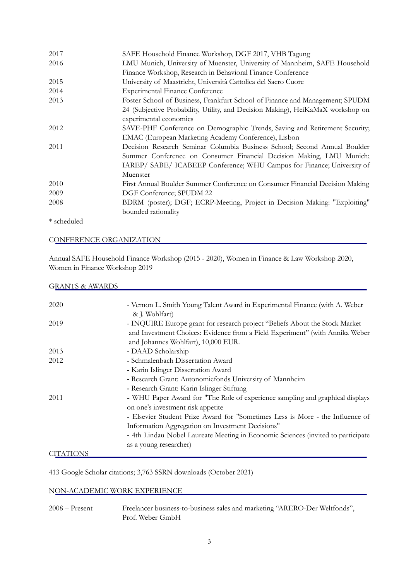| 2017        | SAFE Household Finance Workshop, DGF 2017, VHB Tagung                           |
|-------------|---------------------------------------------------------------------------------|
| 2016        | LMU Munich, University of Muenster, University of Mannheim, SAFE Household      |
|             | Finance Workshop, Research in Behavioral Finance Conference                     |
| 2015        | University of Maastricht, Università Cattolica del Sacro Cuore                  |
| 2014        | <b>Experimental Finance Conference</b>                                          |
| 2013        | Foster School of Business, Frankfurt School of Finance and Management; SPUDM    |
|             | 24 (Subjective Probability, Utility, and Decision Making), HeiKaMaX workshop on |
|             | experimental economics                                                          |
| 2012        | SAVE-PHF Conference on Demographic Trends, Saving and Retirement Security;      |
|             | EMAC (European Marketing Academy Conference), Lisbon                            |
| 2011        | Decision Research Seminar Columbia Business School; Second Annual Boulder       |
|             | Summer Conference on Consumer Financial Decision Making, LMU Munich;            |
|             | IAREP/ SABE/ ICABEEP Conference; WHU Campus for Finance; University of          |
|             | Muenster                                                                        |
| 2010        | First Annual Boulder Summer Conference on Consumer Financial Decision Making    |
| 2009        | DGF Conference; SPUDM 22                                                        |
| 2008        | BDRM (poster); DGF; ECRP-Meeting, Project in Decision Making: "Exploiting"      |
|             | bounded rationality                                                             |
| * scheduled |                                                                                 |

## CONFERENCE ORGANIZATION

Annual SAFE Household Finance Workshop (2015 - 2020), Women in Finance & Law Workshop 2020, Women in Finance Workshop 2019

# GRANTS & AWARDS

| 2020             | - Vernon L. Smith Young Talent Award in Experimental Finance (with A. Weber      |
|------------------|----------------------------------------------------------------------------------|
|                  | & J. Wohlfart)                                                                   |
| 2019             | - INQUIRE Europe grant for research project "Beliefs About the Stock Market      |
|                  | and Investment Choices: Evidence from a Field Experiment" (with Annika Weber     |
|                  | and Johannes Wohlfart), 10,000 EUR.                                              |
| 2013             | - DAAD Scholarship                                                               |
| 2012             | - Schmalenbach Dissertation Award                                                |
|                  | - Karin Islinger Dissertation Award                                              |
|                  | - Research Grant: Autonomiefonds University of Mannheim                          |
|                  | - Research Grant: Karin Islinger Stiftung                                        |
| 2011             | - WHU Paper Award for "The Role of experience sampling and graphical displays    |
|                  | on one's investment risk appetite                                                |
|                  | - Elsevier Student Prize Award for "Sometimes Less is More - the Influence of    |
|                  | Information Aggregation on Investment Decisions"                                 |
|                  | - 4th Lindau Nobel Laureate Meeting in Economic Sciences (invited to participate |
|                  | as a young researcher)                                                           |
| <b>CITATIONS</b> |                                                                                  |

413 Google Scholar citations; 3,763 SSRN downloads (October 2021)

# NON-ACADEMIC WORK EXPERIENCE

2008 – Present Freelancer business-to-business sales and marketing "ARERO-Der Weltfonds", Prof. Weber GmbH